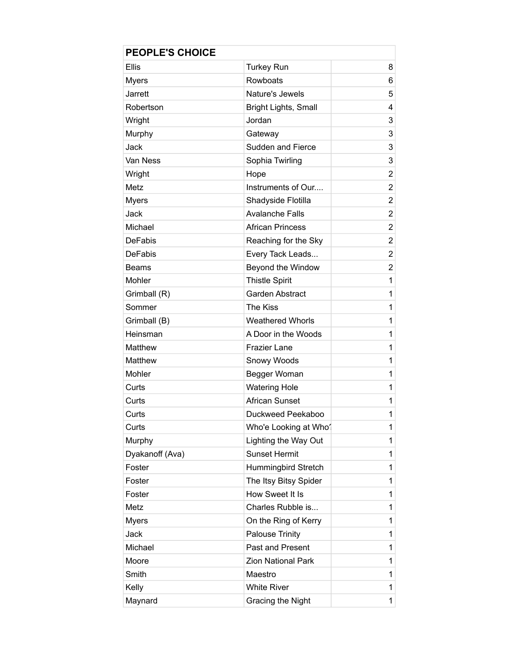| <b>PEOPLE'S CHOICE</b> |                         |                |
|------------------------|-------------------------|----------------|
| <b>Ellis</b>           | <b>Turkey Run</b>       | 8              |
| <b>Myers</b>           | Rowboats                | 6              |
| Jarrett                | Nature's Jewels         | 5              |
| Robertson              | Bright Lights, Small    | 4              |
| Wright                 | Jordan                  | 3              |
| Murphy                 | Gateway                 | 3              |
| Jack                   | Sudden and Fierce       | 3              |
| Van Ness               | Sophia Twirling         | 3              |
| Wright                 | Hope                    | $\overline{2}$ |
| Metz                   | Instruments of Our      | $\overline{2}$ |
| <b>Myers</b>           | Shadyside Flotilla      | $\overline{2}$ |
| Jack                   | <b>Avalanche Falls</b>  | $\overline{2}$ |
| Michael                | <b>African Princess</b> | $\overline{2}$ |
| <b>DeFabis</b>         | Reaching for the Sky    | $\overline{2}$ |
| <b>DeFabis</b>         | Every Tack Leads        | 2              |
| <b>Beams</b>           | Beyond the Window       | $\overline{2}$ |
| Mohler                 | <b>Thistle Spirit</b>   | 1              |
| Grimball (R)           | <b>Garden Abstract</b>  | 1              |
| Sommer                 | The Kiss                | 1              |
| Grimball (B)           | <b>Weathered Whorls</b> | 1              |
| Heinsman               | A Door in the Woods     | 1              |
| Matthew                | <b>Frazier Lane</b>     | 1              |
| Matthew                | Snowy Woods             | 1              |
| Mohler                 | Begger Woman            | 1              |
| Curts                  | <b>Watering Hole</b>    | 1              |
| Curts                  | <b>African Sunset</b>   | 1              |
| Curts                  | Duckweed Peekaboo       | 1              |
| Curts                  | Who'e Looking at Who    | 1              |
| Murphy                 | Lighting the Way Out    | 1              |
| Dyakanoff (Ava)        | <b>Sunset Hermit</b>    | 1              |
| Foster                 | Hummingbird Stretch     | 1              |
| Foster                 | The Itsy Bitsy Spider   | 1              |
| Foster                 | How Sweet It Is         | 1              |
| Metz                   | Charles Rubble is       | 1              |
| <b>Myers</b>           | On the Ring of Kerry    | 1              |
| Jack                   | <b>Palouse Trinity</b>  | 1              |
| Michael                | Past and Present        | 1              |
| Moore                  | Zion National Park      | 1              |
| Smith                  | Maestro                 | 1              |
| Kelly                  | <b>White River</b>      | 1              |
| Maynard                | Gracing the Night       | 1              |